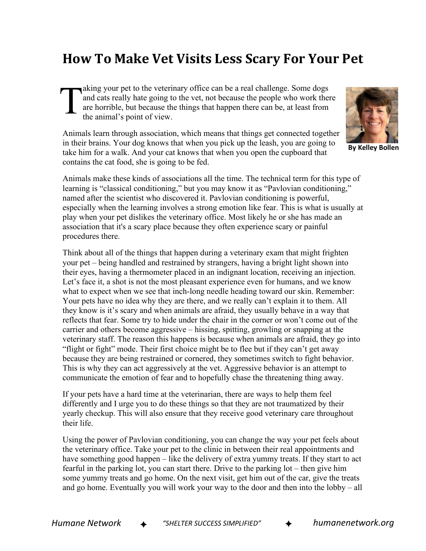## **How To Make Vet Visits Less Scary For Your Pet**

aking your pet to the veterinary office can be a real challenge. Some dogs and cats really hate going to the vet, not because the people who work there are horrible, but because the things that happen there can be, at least from the animal's point of view. T

Animals learn through association, which means that things get connected together in their brains. Your dog knows that when you pick up the leash, you are going to take him for a walk. And your cat knows that when you open the cupboard that contains the cat food, she is going to be fed.

Animals make these kinds of associations all the time. The technical term for this type of learning is "classical conditioning," but you may know it as "Pavlovian conditioning," named after the scientist who discovered it. Pavlovian conditioning is powerful, especially when the learning involves a strong emotion like fear. This is what is usually at play when your pet dislikes the veterinary office. Most likely he or she has made an association that it's a scary place because they often experience scary or painful procedures there.

Think about all of the things that happen during a veterinary exam that might frighten your pet – being handled and restrained by strangers, having a bright light shown into their eyes, having a thermometer placed in an indignant location, receiving an injection. Let's face it, a shot is not the most pleasant experience even for humans, and we know what to expect when we see that inch-long needle heading toward our skin. Remember: Your pets have no idea why they are there, and we really can't explain it to them. All they know is it's scary and when animals are afraid, they usually behave in a way that reflects that fear. Some try to hide under the chair in the corner or won't come out of the carrier and others become aggressive – hissing, spitting, growling or snapping at the veterinary staff. The reason this happens is because when animals are afraid, they go into "flight or fight" mode. Their first choice might be to flee but if they can't get away because they are being restrained or cornered, they sometimes switch to fight behavior. This is why they can act aggressively at the vet. Aggressive behavior is an attempt to communicate the emotion of fear and to hopefully chase the threatening thing away.

If your pets have a hard time at the veterinarian, there are ways to help them feel differently and I urge you to do these things so that they are not traumatized by their yearly checkup. This will also ensure that they receive good veterinary care throughout their life.

Using the power of Pavlovian conditioning, you can change the way your pet feels about the veterinary office. Take your pet to the clinic in between their real appointments and have something good happen – like the delivery of extra yummy treats. If they start to act fearful in the parking lot, you can start there. Drive to the parking lot – then give him some yummy treats and go home. On the next visit, get him out of the car, give the treats and go home. Eventually you will work your way to the door and then into the lobby – all